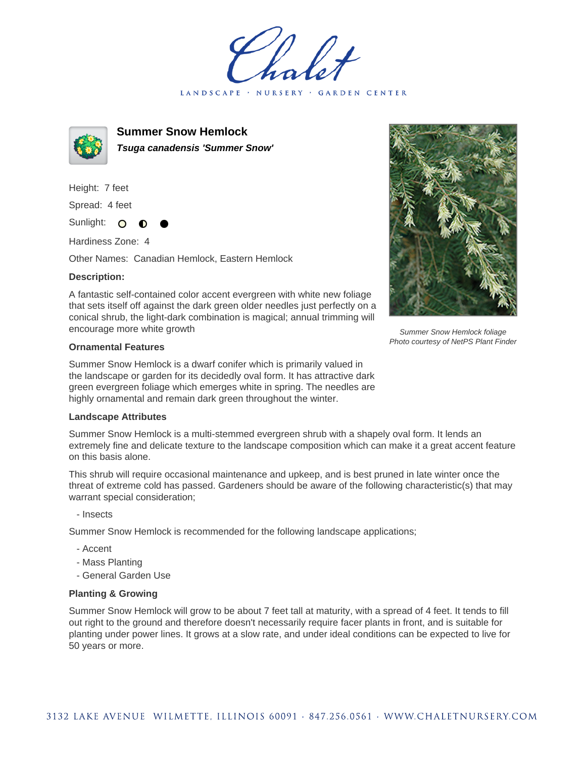LANDSCAPE · NURSERY · GARDEN CENTER



**Summer Snow Hemlock Tsuga canadensis 'Summer Snow'**

Height: 7 feet Spread: 4 feet

Sunlight: O

Hardiness Zone: 4

Other Names: Canadian Hemlock, Eastern Hemlock

## **Description:**

A fantastic self-contained color accent evergreen with white new foliage that sets itself off against the dark green older needles just perfectly on a conical shrub, the light-dark combination is magical; annual trimming will encourage more white growth

## **Ornamental Features**

Summer Snow Hemlock is a dwarf conifer which is primarily valued in the landscape or garden for its decidedly oval form. It has attractive dark green evergreen foliage which emerges white in spring. The needles are highly ornamental and remain dark green throughout the winter.

## **Landscape Attributes**

Summer Snow Hemlock is a multi-stemmed evergreen shrub with a shapely oval form. It lends an extremely fine and delicate texture to the landscape composition which can make it a great accent feature on this basis alone.

This shrub will require occasional maintenance and upkeep, and is best pruned in late winter once the threat of extreme cold has passed. Gardeners should be aware of the following characteristic(s) that may warrant special consideration;

- Insects

Summer Snow Hemlock is recommended for the following landscape applications;

- Accent
- Mass Planting
- General Garden Use

## **Planting & Growing**

Summer Snow Hemlock will grow to be about 7 feet tall at maturity, with a spread of 4 feet. It tends to fill out right to the ground and therefore doesn't necessarily require facer plants in front, and is suitable for planting under power lines. It grows at a slow rate, and under ideal conditions can be expected to live for 50 years or more.



Summer Snow Hemlock foliage Photo courtesy of NetPS Plant Finder